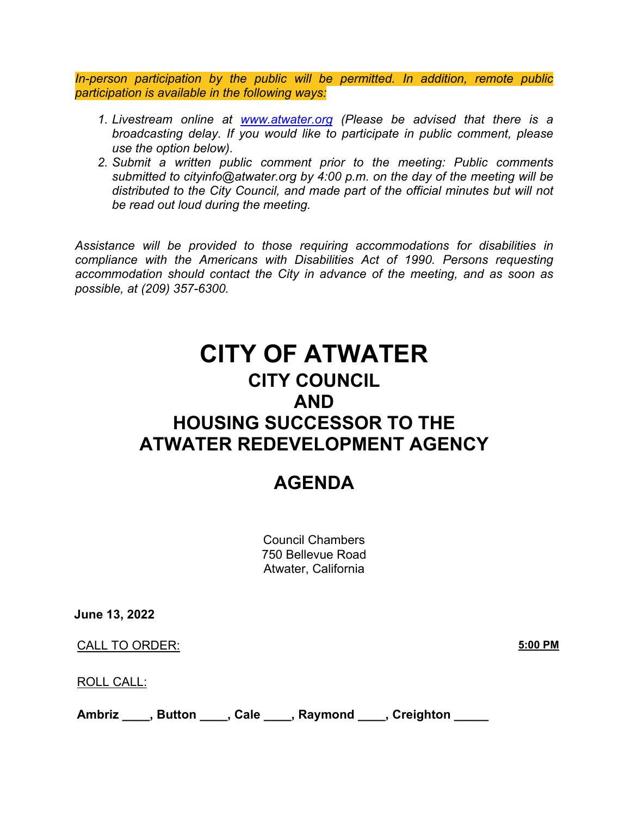*In-person participation by the public will be permitted. In addition, remote public participation is available in the following ways:*

- *1. Livestream online at [www.atwater.org](//www.atwater.org) (Please be advised that there is a broadcasting delay. If you would like to participate in public comment, please use the option below).*
- *2. Submit a written public comment prior to the meeting: Public comments submitted to cityinfo@atwater.org by 4:00 p.m. on the day of the meeting will be distributed to the City Council, and made part of the official minutes but will not be read out loud during the meeting.*

*Assistance will be provided to those requiring accommodations for disabilities in compliance with the Americans with Disabilities Act of 1990. Persons requesting accommodation should contact the City in advance of the meeting, and as soon as possible, at (209) 357-6300.*

# **CITY OF ATWATER CITY COUNCIL AND HOUSING SUCCESSOR TO THE ATWATER REDEVELOPMENT AGENCY**

## **AGENDA**

Council Chambers 750 Bellevue Road Atwater, California

**June 13, 2022**

CALL TO ORDER: **5:00 PM**

ROLL CALL:

Ambriz \_\_\_\_, Button \_\_\_\_, Cale \_\_\_\_, Raymond \_\_\_\_, Creighton \_\_\_\_\_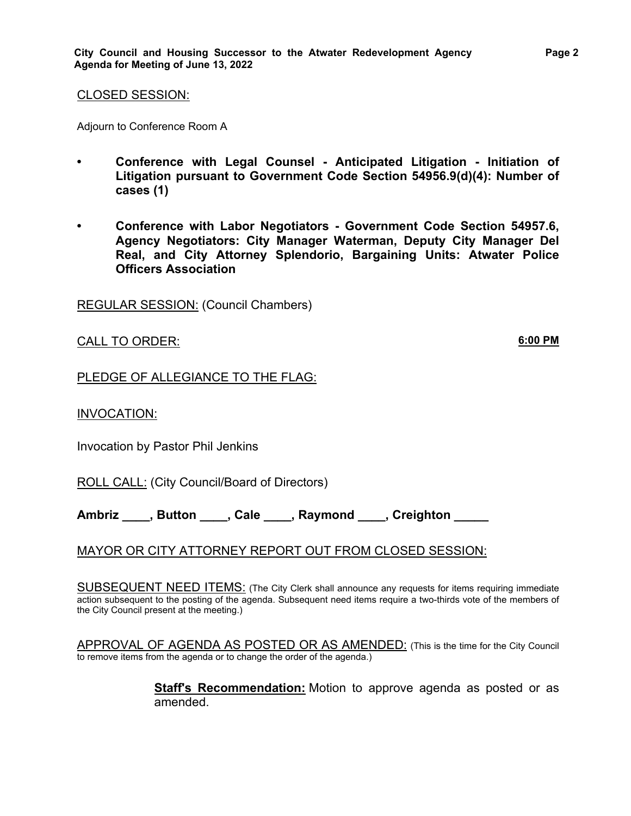Adjourn to Conference Room A

- **• Conference with Legal Counsel Anticipated Litigation Initiation of Litigation pursuant to Government Code Section 54956.9(d)(4): Number of cases (1)**
- **• Conference with Labor Negotiators Government Code Section 54957.6, Agency Negotiators: City Manager Waterman, Deputy City Manager Del Real, and City Attorney Splendorio, Bargaining Units: Atwater Police Officers Association**

REGULAR SESSION: (Council Chambers)

CALL TO ORDER: **6:00 PM**

#### PLEDGE OF ALLEGIANCE TO THE FLAG:

INVOCATION:

Invocation by Pastor Phil Jenkins

ROLL CALL: (City Council/Board of Directors)

**Ambriz \_\_\_\_, Button \_\_\_\_, Cale \_\_\_\_, Raymond \_\_\_\_, Creighton \_\_\_\_\_**

## MAYOR OR CITY ATTORNEY REPORT OUT FROM CLOSED SESSION:

SUBSEQUENT NEED ITEMS: (The City Clerk shall announce any requests for items requiring immediate action subsequent to the posting of the agenda. Subsequent need items require a two-thirds vote of the members of the City Council present at the meeting.)

APPROVAL OF AGENDA AS POSTED OR AS AMENDED: (This is the time for the City Council to remove items from the agenda or to change the order of the agenda.)

> **Staff's Recommendation:** Motion to approve agenda as posted or as amended.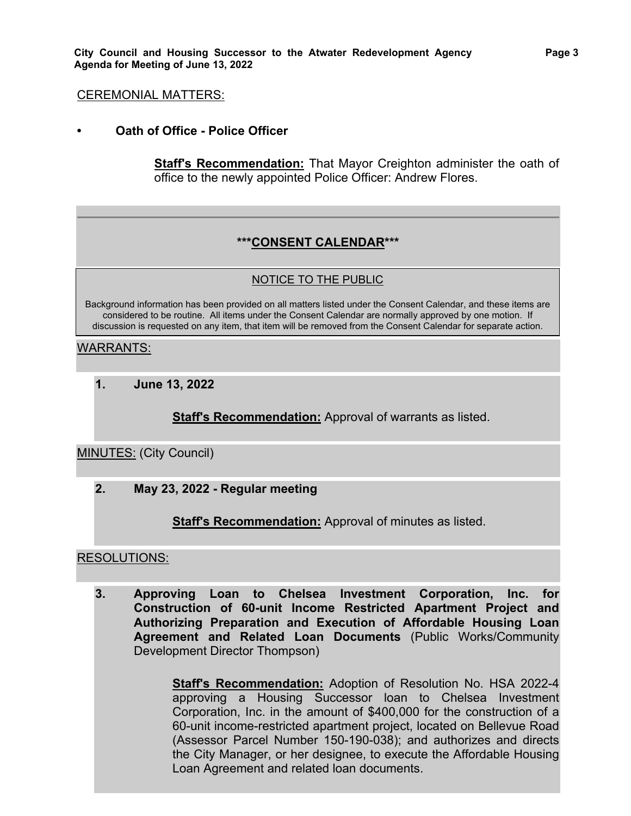#### CEREMONIAL MATTERS:

**• Oath of Office - Police Officer**

**Staff's Recommendation:** That Mayor Creighton administer the oath of office to the newly appointed Police Officer: Andrew Flores.

#### **\*\*\*CONSENT CALENDAR\*\*\***

#### NOTICE TO THE PUBLIC

Background information has been provided on all matters listed under the Consent Calendar, and these items are considered to be routine. All items under the Consent Calendar are normally approved by one motion. If discussion is requested on any item, that item will be removed from the Consent Calendar for separate action.

#### WARRANTS:

**1. June 13, 2022**

**Staff's Recommendation:** Approval of warrants as listed.

#### MINUTES: (City Council)

**2. May 23, 2022 - Regular meeting**

**Staff's Recommendation:** Approval of minutes as listed.

#### RESOLUTIONS:

**3. Approving Loan to Chelsea Investment Corporation, Inc. for Construction of 60-unit Income Restricted Apartment Project and Authorizing Preparation and Execution of Affordable Housing Loan Agreement and Related Loan Documents** (Public Works/Community Development Director Thompson)

> **Staff's Recommendation:** Adoption of Resolution No. HSA 2022-4 approving a Housing Successor loan to Chelsea Investment Corporation, Inc. in the amount of \$400,000 for the construction of a 60-unit income-restricted apartment project, located on Bellevue Road (Assessor Parcel Number 150-190-038); and authorizes and directs the City Manager, or her designee, to execute the Affordable Housing Loan Agreement and related loan documents.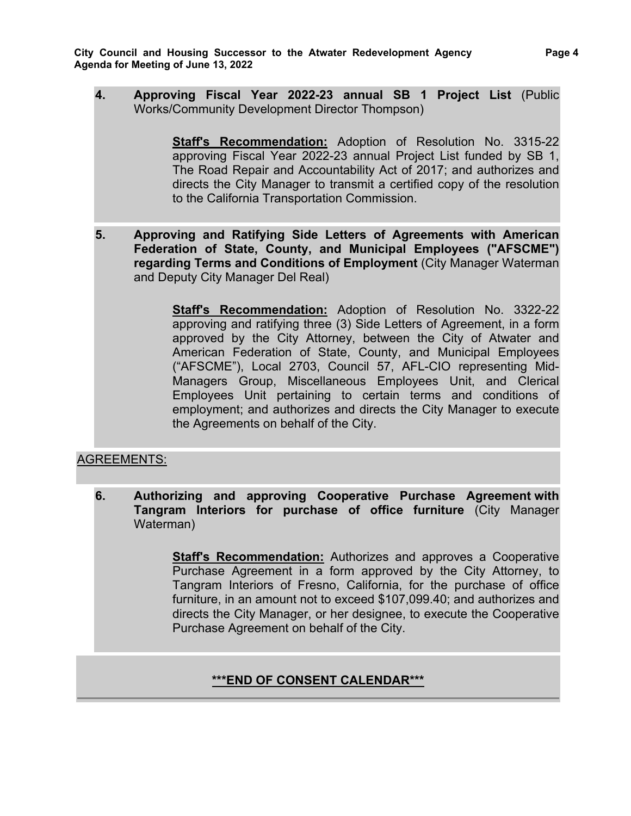**4. Approving Fiscal Year 2022-23 annual SB 1 Project List** (Public Works/Community Development Director Thompson)

> **Staff's Recommendation:** Adoption of Resolution No. 3315-22 approving Fiscal Year 2022-23 annual Project List funded by SB 1, The Road Repair and Accountability Act of 2017; and authorizes and directs the City Manager to transmit a certified copy of the resolution to the California Transportation Commission.

**5. Approving and Ratifying Side Letters of Agreements with American Federation of State, County, and Municipal Employees ("AFSCME") regarding Terms and Conditions of Employment** (City Manager Waterman and Deputy City Manager Del Real)

> **Staff's Recommendation:** Adoption of Resolution No. 3322-22 approving and ratifying three (3) Side Letters of Agreement, in a form approved by the City Attorney, between the City of Atwater and American Federation of State, County, and Municipal Employees ("AFSCME"), Local 2703, Council 57, AFL-CIO representing Mid-Managers Group, Miscellaneous Employees Unit, and Clerical Employees Unit pertaining to certain terms and conditions of employment; and authorizes and directs the City Manager to execute the Agreements on behalf of the City.

## AGREEMENTS:

**6. Authorizing and approving Cooperative Purchase Agreement with Tangram Interiors for purchase of office furniture** (City Manager Waterman)

> **Staff's Recommendation:** Authorizes and approves a Cooperative Purchase Agreement in a form approved by the City Attorney, to Tangram Interiors of Fresno, California, for the purchase of office furniture, in an amount not to exceed \$107,099.40; and authorizes and directs the City Manager, or her designee, to execute the Cooperative Purchase Agreement on behalf of the City.

## **\*\*\*END OF CONSENT CALENDAR\*\*\***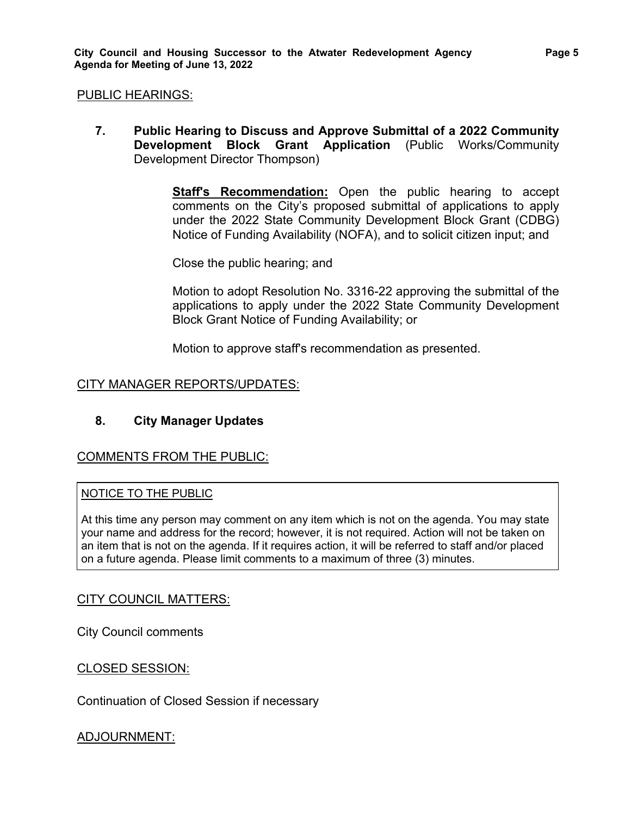#### PUBLIC HEARINGS:

**7. Public Hearing to Discuss and Approve Submittal of a 2022 Community Development Block Grant Application** (Public Works/Community Development Director Thompson)

> **Staff's Recommendation:** Open the public hearing to accept comments on the City's proposed submittal of applications to apply under the 2022 State Community Development Block Grant (CDBG) Notice of Funding Availability (NOFA), and to solicit citizen input; and

Close the public hearing; and

Motion to adopt Resolution No. 3316-22 approving the submittal of the applications to apply under the 2022 State Community Development Block Grant Notice of Funding Availability; or

Motion to approve staff's recommendation as presented.

#### CITY MANAGER REPORTS/UPDATES:

## **8. City Manager Updates**

#### COMMENTS FROM THE PUBLIC:

#### NOTICE TO THE PUBLIC

At this time any person may comment on any item which is not on the agenda. You may state your name and address for the record; however, it is not required. Action will not be taken on an item that is not on the agenda. If it requires action, it will be referred to staff and/or placed on a future agenda. Please limit comments to a maximum of three (3) minutes.

#### CITY COUNCIL MATTERS:

City Council comments

#### CLOSED SESSION:

Continuation of Closed Session if necessary

#### ADJOURNMENT: